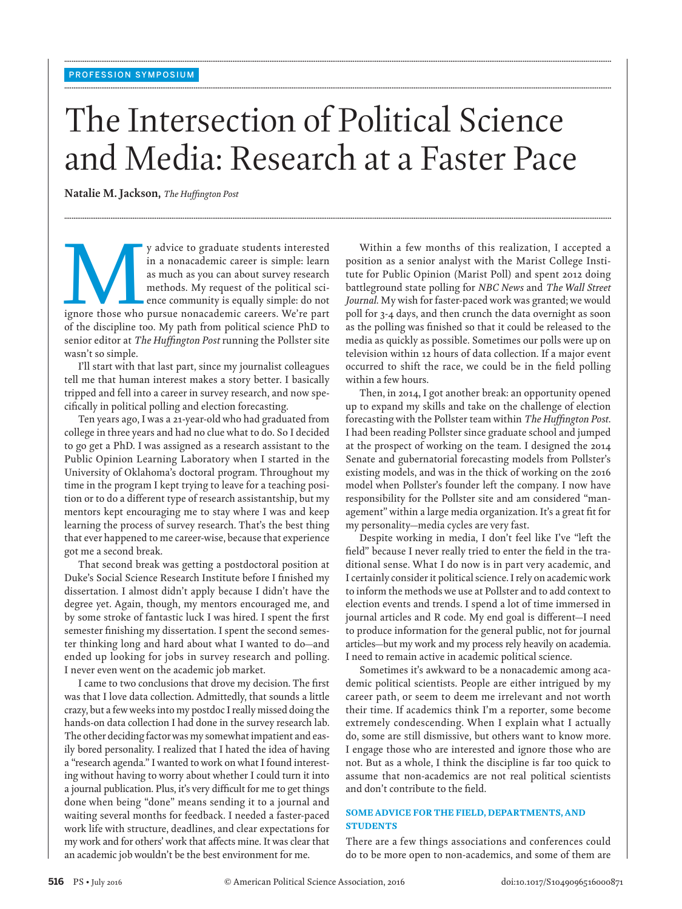## The Intersection of Political Science and Media: Research at a Faster Pace

**........................................................................................................................................................................................................................................................................................................**

**........................................................................................................................................................................................................................................................................................................**

**........................................................................................................................................................................................................................................................................................................**

**Natalie M. Jackson,** *The Huffington Post* 

y advice to graduate students interested<br>
in a nonacademic career is simple: learn<br>
as much as you can about survey research<br>
methods. My request of the political sci-<br>
ence community is equally simple: do not<br>
ignore thos in a nonacademic career is simple: learn as much as you can about survey research methods. My request of the political science community is equally simple: do not of the discipline too. My path from political science PhD to senior editor at The Huffington Post running the Pollster site wasn't so simple.

 I'll start with that last part, since my journalist colleagues tell me that human interest makes a story better. I basically tripped and fell into a career in survey research, and now specifically in political polling and election forecasting.

 Ten years ago, I was a 21-year-old who had graduated from college in three years and had no clue what to do. So I decided to go get a PhD. I was assigned as a research assistant to the Public Opinion Learning Laboratory when I started in the University of Oklahoma's doctoral program. Throughout my time in the program I kept trying to leave for a teaching position or to do a different type of research assistantship, but my mentors kept encouraging me to stay where I was and keep learning the process of survey research. That's the best thing that ever happened to me career-wise, because that experience got me a second break.

 That second break was getting a postdoctoral position at Duke's Social Science Research Institute before I finished my dissertation. I almost didn't apply because I didn't have the degree yet. Again, though, my mentors encouraged me, and by some stroke of fantastic luck I was hired. I spent the first semester finishing my dissertation. I spent the second semester thinking long and hard about what I wanted to do—and ended up looking for jobs in survey research and polling. I never even went on the academic job market.

I came to two conclusions that drove my decision. The first was that I love data collection. Admittedly, that sounds a little crazy, but a few weeks into my postdoc I really missed doing the hands-on data collection I had done in the survey research lab. The other deciding factor was my somewhat impatient and easily bored personality. I realized that I hated the idea of having a "research agenda." I wanted to work on what I found interesting without having to worry about whether I could turn it into a journal publication. Plus, it's very difficult for me to get things done when being "done" means sending it to a journal and waiting several months for feedback. I needed a faster-paced work life with structure, deadlines, and clear expectations for my work and for others' work that affects mine. It was clear that an academic job wouldn't be the best environment for me.

 Within a few months of this realization, I accepted a position as a senior analyst with the Marist College Institute for Public Opinion (Marist Poll) and spent 2012 doing battleground state polling for *NBC News* and *The Wall Street Journal* . My wish for faster-paced work was granted; we would poll for 3-4 days, and then crunch the data overnight as soon as the polling was finished so that it could be released to the media as quickly as possible. Sometimes our polls were up on television within 12 hours of data collection. If a major event occurred to shift the race, we could be in the field polling within a few hours.

 Then, in 2014, I got another break: an opportunity opened up to expand my skills and take on the challenge of election forecasting with the Pollster team within *The Huffington Post*. I had been reading Pollster since graduate school and jumped at the prospect of working on the team. I designed the 2014 Senate and gubernatorial forecasting models from Pollster's existing models, and was in the thick of working on the 2016 model when Pollster's founder left the company. I now have responsibility for the Pollster site and am considered "management" within a large media organization. It's a great fit for my personality—media cycles are very fast.

 Despite working in media, I don't feel like I've "left the field" because I never really tried to enter the field in the traditional sense. What I do now is in part very academic, and I certainly consider it political science. I rely on academic work to inform the methods we use at Pollster and to add context to election events and trends. I spend a lot of time immersed in journal articles and R code. My end goal is different-I need to produce information for the general public, not for journal articles—but my work and my process rely heavily on academia. I need to remain active in academic political science.

 Sometimes it's awkward to be a nonacademic among academic political scientists. People are either intrigued by my career path, or seem to deem me irrelevant and not worth their time. If academics think I'm a reporter, some become extremely condescending. When I explain what I actually do, some are still dismissive, but others want to know more. I engage those who are interested and ignore those who are not. But as a whole, I think the discipline is far too quick to assume that non-academics are not real political scientists and don't contribute to the field.

## **SOME ADVICE FOR THE FIELD, DEPARTMENTS, AND STUDENTS**

 There are a few things associations and conferences could do to be more open to non-academics, and some of them are